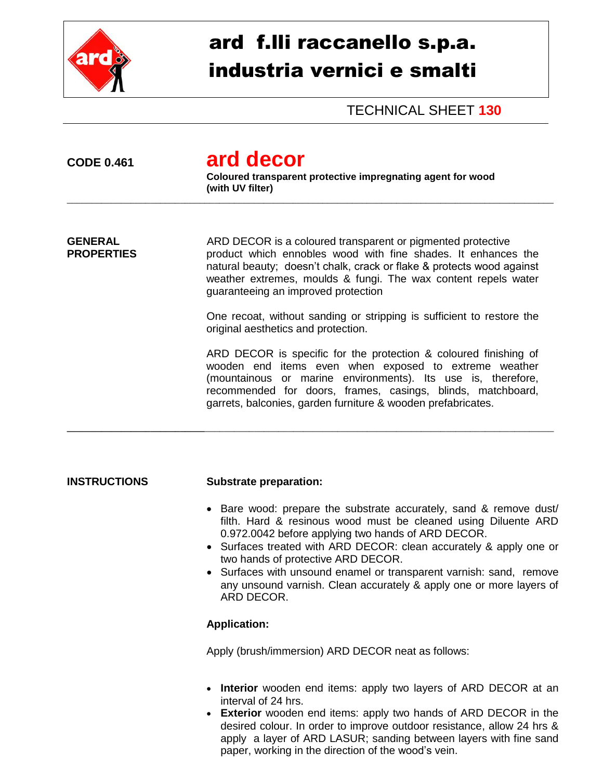

# ard f.lli raccanello s.p.a. industria vernici e smalti

TECHNICAL SHEET **130**

# **CODE 0.461 ard decor**

**Coloured transparent protective impregnating agent for wood (with UV filter)**

\_\_\_\_\_\_\_\_\_\_\_\_\_\_\_\_\_\_\_\_\_\_\_\_\_\_\_\_\_\_\_\_\_\_\_\_\_\_\_\_\_\_\_\_\_\_\_\_\_\_\_\_\_\_\_\_\_\_\_\_\_\_\_\_\_\_\_\_\_\_\_\_\_\_\_\_\_\_\_\_\_\_\_\_\_\_\_\_\_\_\_\_\_\_\_\_\_\_\_

**\_\_\_\_\_\_\_\_\_\_\_\_\_\_\_\_\_\_\_\_\_\_\_\_\_\_\_\_**\_\_\_\_\_\_\_\_\_\_\_\_\_\_\_\_\_\_\_\_\_\_\_\_\_\_\_\_\_\_\_\_\_\_\_\_\_\_\_\_\_\_\_\_\_\_\_\_\_\_\_\_\_\_\_\_\_\_\_\_\_\_\_\_\_\_\_\_\_\_\_

**GENERAL** ARD DECOR is a coloured transparent or pigmented protective **PROPERTIES product which ennobles wood with fine shades. It enhances the** natural beauty; doesn't chalk, crack or flake & protects wood against weather extremes, moulds & fungi. The wax content repels water guaranteeing an improved protection

> One recoat, without sanding or stripping is sufficient to restore the original aesthetics and protection.

> ARD DECOR is specific for the protection & coloured finishing of wooden end items even when exposed to extreme weather (mountainous or marine environments). Its use is, therefore, recommended for doors, frames, casings, blinds, matchboard, garrets, balconies, garden furniture & wooden prefabricates.

#### **INSTRUCTIONS Substrate preparation:**

- Bare wood: prepare the substrate accurately, sand & remove dust/ filth. Hard & resinous wood must be cleaned using Diluente ARD 0.972.0042 before applying two hands of ARD DECOR.
- Surfaces treated with ARD DECOR: clean accurately & apply one or two hands of protective ARD DECOR.
- Surfaces with unsound enamel or transparent varnish: sand, remove any unsound varnish. Clean accurately & apply one or more layers of ARD DECOR.

## **Application:**

Apply (brush/immersion) ARD DECOR neat as follows:

- **Interior** wooden end items: apply two layers of ARD DECOR at an interval of 24 hrs.
- **Exterior** wooden end items: apply two hands of ARD DECOR in the desired colour. In order to improve outdoor resistance, allow 24 hrs & apply a layer of ARD LASUR; sanding between layers with fine sand paper, working in the direction of the wood's vein.